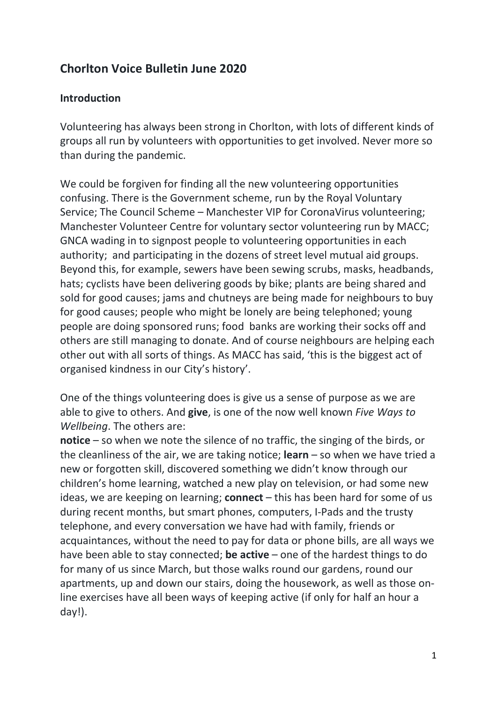# Chorlton Voice Bulletin June 2020

#### Introduction

Volunteering has always been strong in Chorlton, with lots of different kinds of groups all run by volunteers with opportunities to get involved. Never more so than during the pandemic.

We could be forgiven for finding all the new volunteering opportunities confusing. There is the Government scheme, run by the Royal Voluntary Service; The Council Scheme – Manchester VIP for CoronaVirus volunteering; Manchester Volunteer Centre for voluntary sector volunteering run by MACC; GNCA wading in to signpost people to volunteering opportunities in each authority; and participating in the dozens of street level mutual aid groups. Beyond this, for example, sewers have been sewing scrubs, masks, headbands, hats; cyclists have been delivering goods by bike; plants are being shared and sold for good causes; jams and chutneys are being made for neighbours to buy for good causes; people who might be lonely are being telephoned; young people are doing sponsored runs; food banks are working their socks off and others are still managing to donate. And of course neighbours are helping each other out with all sorts of things. As MACC has said, 'this is the biggest act of organised kindness in our City's history'.

One of the things volunteering does is give us a sense of purpose as we are able to give to others. And give, is one of the now well known Five Ways to Wellbeing. The others are:

notice – so when we note the silence of no traffic, the singing of the birds, or the cleanliness of the air, we are taking notice; **learn**  $-$  so when we have tried a new or forgotten skill, discovered something we didn't know through our children's home learning, watched a new play on television, or had some new ideas, we are keeping on learning; **connect**  $-$  this has been hard for some of us during recent months, but smart phones, computers, I-Pads and the trusty telephone, and every conversation we have had with family, friends or acquaintances, without the need to pay for data or phone bills, are all ways we have been able to stay connected; **be active** – one of the hardest things to do for many of us since March, but those walks round our gardens, round our apartments, up and down our stairs, doing the housework, as well as those online exercises have all been ways of keeping active (if only for half an hour a day!).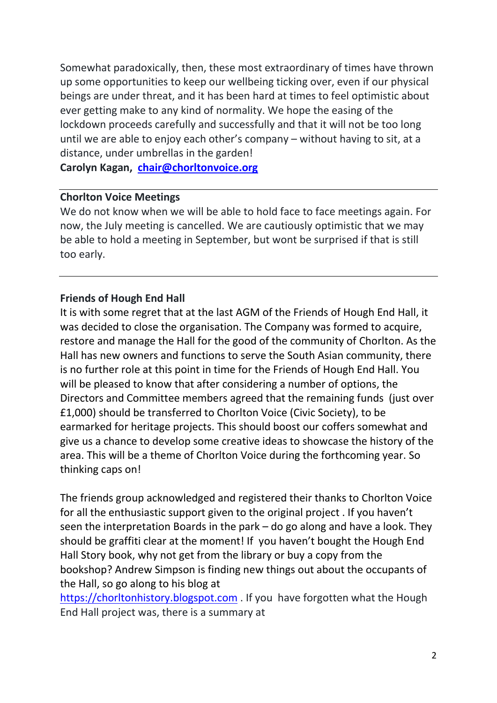Somewhat paradoxically, then, these most extraordinary of times have thrown up some opportunities to keep our wellbeing ticking over, even if our physical beings are under threat, and it has been hard at times to feel optimistic about ever getting make to any kind of normality. We hope the easing of the lockdown proceeds carefully and successfully and that it will not be too long until we are able to enjoy each other's company – without having to sit, at a distance, under umbrellas in the garden!

Carolyn Kagan, chair@chorltonvoice.org

#### Chorlton Voice Meetings

We do not know when we will be able to hold face to face meetings again. For now, the July meeting is cancelled. We are cautiously optimistic that we may be able to hold a meeting in September, but wont be surprised if that is still too early.

#### Friends of Hough End Hall

It is with some regret that at the last AGM of the Friends of Hough End Hall, it was decided to close the organisation. The Company was formed to acquire, restore and manage the Hall for the good of the community of Chorlton. As the Hall has new owners and functions to serve the South Asian community, there is no further role at this point in time for the Friends of Hough End Hall. You will be pleased to know that after considering a number of options, the Directors and Committee members agreed that the remaining funds (just over £1,000) should be transferred to Chorlton Voice (Civic Society), to be earmarked for heritage projects. This should boost our coffers somewhat and give us a chance to develop some creative ideas to showcase the history of the area. This will be a theme of Chorlton Voice during the forthcoming year. So thinking caps on!

The friends group acknowledged and registered their thanks to Chorlton Voice for all the enthusiastic support given to the original project . If you haven't seen the interpretation Boards in the park – do go along and have a look. They should be graffiti clear at the moment! If you haven't bought the Hough End Hall Story book, why not get from the library or buy a copy from the bookshop? Andrew Simpson is finding new things out about the occupants of the Hall, so go along to his blog at

https://chorltonhistory.blogspot.com . If you have forgotten what the Hough End Hall project was, there is a summary at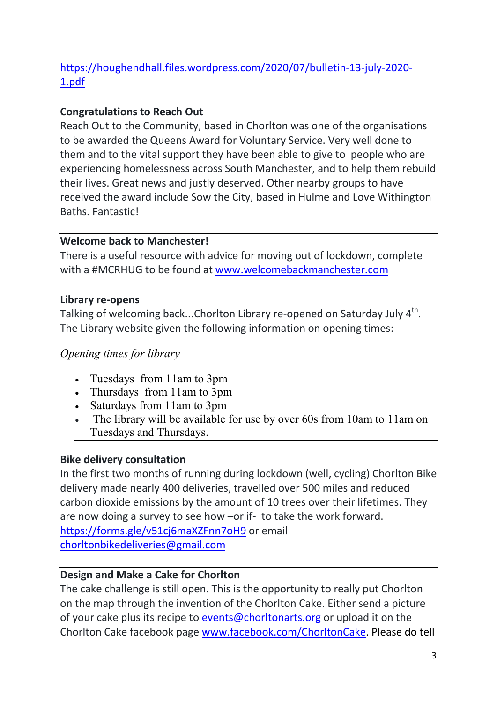# https://houghendhall.files.wordpress.com/2020/07/bulletin-13-july-2020- 1.pdf

## Congratulations to Reach Out

Reach Out to the Community, based in Chorlton was one of the organisations to be awarded the Queens Award for Voluntary Service. Very well done to them and to the vital support they have been able to give to people who are experiencing homelessness across South Manchester, and to help them rebuild their lives. Great news and justly deserved. Other nearby groups to have received the award include Sow the City, based in Hulme and Love Withington Baths. Fantastic!

### Welcome back to Manchester!

There is a useful resource with advice for moving out of lockdown, complete with a #MCRHUG to be found at www.welcomebackmanchester.com

#### Library re-opens

Talking of welcoming back...Chorlton Library re-opened on Saturday July  $4^{\text{th}}$ . The Library website given the following information on opening times:

### Opening times for library

- Tuesdays from 11am to 3pm
- Thursdays from 11am to 3pm
- Saturdays from 11am to 3pm
- The library will be available for use by over 60s from 10am to 11am on Tuesdays and Thursdays.

### Bike delivery consultation

In the first two months of running during lockdown (well, cycling) Chorlton Bike delivery made nearly 400 deliveries, travelled over 500 miles and reduced carbon dioxide emissions by the amount of 10 trees over their lifetimes. They are now doing a survey to see how –or if- to take the work forward. https://forms.gle/v51cj6maXZFnn7oH9 or email chorltonbikedeliveries@gmail.com

### Design and Make a Cake for Chorlton

The cake challenge is still open. This is the opportunity to really put Chorlton on the map through the invention of the Chorlton Cake. Either send a picture of your cake plus its recipe to events@chorltonarts.org or upload it on the Chorlton Cake facebook page www.facebook.com/ChorltonCake. Please do tell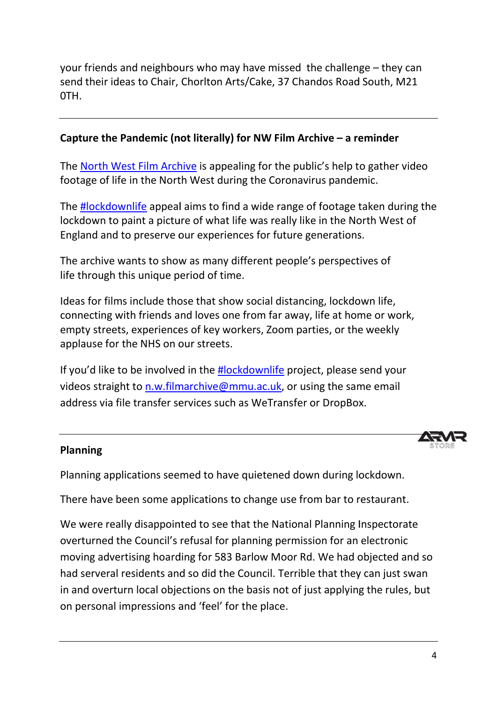your friends and neighbours who may have missed the challenge - they can send their ideas to Chair, Chorlton Arts/Cake, 37 Chandos Road South, M21 0TH.

### Capture the Pandemic (not literally) for NW Film Archive - a reminder

The **North West Film Archive** is appealing for the public's help to gather video footage of life in the North West during the Coronavirus pandemic.

The #lockdownlife appeal aims to find a wide range of footage taken during the lockdown to paint a picture of what life was really like in the North West of England and to preserve our experiences for future generations. whife appeal aims to find a wide range of footage taken during<br>paint a picture of what life was really like in the North West of<br>to preserve our experiences for future generations.<br>wants to show as many different people's

The archive wants to show as many different people's perspectives of life through this unique period of time.

Ideas for films include those that show social distancing, lockdown life, connecting with friends and loves one from far away, life at home or work, empty streets, experiences of key workers, Zoom parties, or the weekly applause for the NHS on our streets. empty streets, experiences of key workers, Zoom parties, or the weekly<br>applause for the NHS on our streets.<br>If you'd like to be involved in the **#lockdownlife** project, please send your est during the Coronavirus pandemic.<br>
s to find a wide range of footage take<br>
f what life was really like in the North<br>
xperiences for future generations.<br>
many different people's perspectives<br>
d of time.<br>
hat show social

videos straight to n.w.filmarchive@mmu.ac.uk, or using the same email address via file transfer services such as WeTransfer or DropBox.

### Planning

Planning applications seemed to have quietened down during lockdown.

There have been some applications to change use from bar to restaurant.

We were really disappointed to see that the National Planning Inspectorate We were really disappointed to see that the National Planning Inspectorat<br>overturned the Council's refusal for planning permission for an electronic moving advertising hoarding for 583 Barlow Moor Rd. We had objected and so had serveral residents and so did the Council. Terrible that they can just swan in and overturn local objections on the basis not of just applying the rules, but on personal impressions and 'feel' for the place. on personal impressions and 'feel' for the place.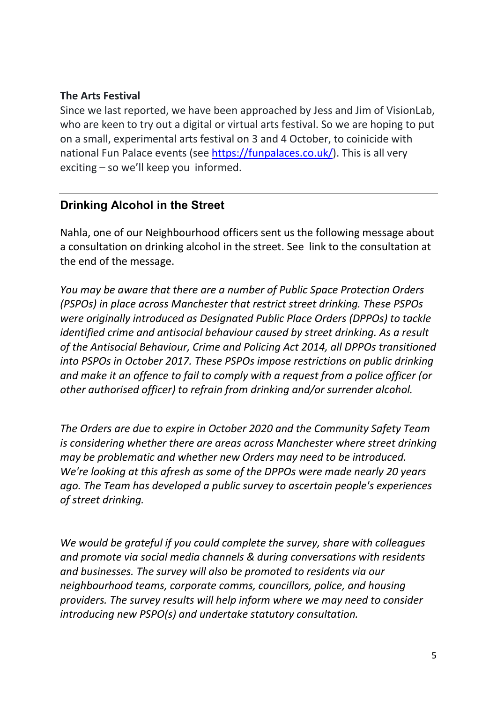#### The Arts Festival

Since we last reported, we have been approached by Jess and Jim of VisionLab, who are keen to try out a digital or virtual arts festival. So we are hoping to put on a small, experimental arts festival on 3 and 4 October, to coinicide with national Fun Palace events (see https://funpalaces.co.uk/). This is all very exciting – so we'll keep you informed.

## Drinking Alcohol in the Street

Nahla, one of our Neighbourhood officers sent us the following message about a consultation on drinking alcohol in the street. See link to the consultation at the end of the message.

You may be aware that there are a number of Public Space Protection Orders (PSPOs) in place across Manchester that restrict street drinking. These PSPOs were originally introduced as Designated Public Place Orders (DPPOs) to tackle identified crime and antisocial behaviour caused by street drinking. As a result of the Antisocial Behaviour, Crime and Policing Act 2014, all DPPOs transitioned into PSPOs in October 2017. These PSPOs impose restrictions on public drinking and make it an offence to fail to comply with a request from a police officer (or other authorised officer) to refrain from drinking and/or surrender alcohol.

The Orders are due to expire in October 2020 and the Community Safety Team is considering whether there are areas across Manchester where street drinking may be problematic and whether new Orders may need to be introduced. We're looking at this afresh as some of the DPPOs were made nearly 20 years ago. The Team has developed a public survey to ascertain people's experiences of street drinking.

We would be grateful if you could complete the survey, share with colleagues and promote via social media channels & during conversations with residents and businesses. The survey will also be promoted to residents via our neighbourhood teams, corporate comms, councillors, police, and housing providers. The survey results will help inform where we may need to consider introducing new PSPO(s) and undertake statutory consultation.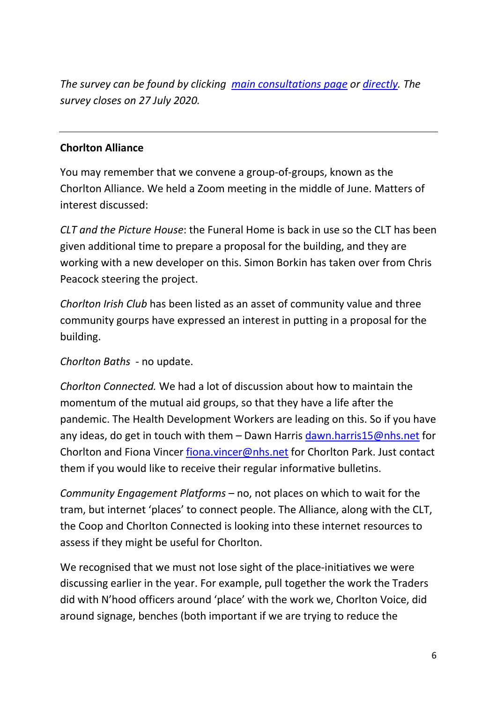The survey can be found by clicking main consultations page or directly. The survey closes on 27 July 2020.

#### Chorlton Alliance

You may remember that we convene a group-of-groups, known as the Chorlton Alliance. We held a Zoom meeting in the middle of June. Matters of interest discussed:

CLT and the Picture House: the Funeral Home is back in use so the CLT has been given additional time to prepare a proposal for the building, and they are working with a new developer on this. Simon Borkin has taken over from Chris Peacock steering the project.

Chorlton Irish Club has been listed as an asset of community value and three community gourps have expressed an interest in putting in a proposal for the building.

Chorlton Baths - no update.

Chorlton Connected. We had a lot of discussion about how to maintain the momentum of the mutual aid groups, so that they have a life after the pandemic. The Health Development Workers are leading on this. So if you have any ideas, do get in touch with them – Dawn Harris dawn.harris15@nhs.net for Chorlton and Fiona Vincer fiona.vincer@nhs.net for Chorlton Park. Just contact them if you would like to receive their regular informative bulletins.

Community Engagement Platforms – no, not places on which to wait for the tram, but internet 'places' to connect people. The Alliance, along with the CLT, the Coop and Chorlton Connected is looking into these internet resources to assess if they might be useful for Chorlton.

We recognised that we must not lose sight of the place-initiatives we were discussing earlier in the year. For example, pull together the work the Traders did with N'hood officers around 'place' with the work we, Chorlton Voice, did around signage, benches (both important if we are trying to reduce the